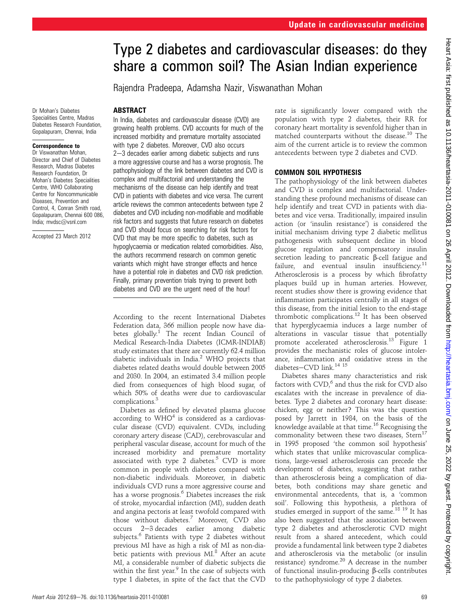# Type 2 diabetes and cardiovascular diseases: do they share a common soil? The Asian Indian experience

Rajendra Pradeepa, Adamsha Nazir, Viswanathan Mohan

#### **ABSTRACT**

Dr Mohan's Diabetes Specialities Centre, Madras Diabetes Research Foundation, Gopalapuram, Chennai, India

#### Correspondence to

Dr Viswanathan Mohan, Director and Chief of Diabetes Research, Madras Diabetes Research Foundation, Dr Mohan's Diabetes Specialities Centre, WHO Collaborating Centre for Noncommunicable Diseases, Prevention and Control, 4, Conran Smith road, Gopalapuram, Chennai 600 086, India; mvdsc@vsnl.com

Accepted 23 March 2012

In India, diabetes and cardiovascular disease (CVD) are growing health problems. CVD accounts for much of the increased morbidity and premature mortality associated with type 2 diabetes. Moreover, CVD also occurs  $2-3$  decades earlier among diabetic subjects and runs a more aggressive course and has a worse prognosis. The pathophysiology of the link between diabetes and CVD is complex and multifactorial and understanding the mechanisms of the disease can help identify and treat CVD in patients with diabetes and vice versa. The current article reviews the common antecedents between type 2 diabetes and CVD including non-modifiable and modifiable risk factors and suggests that future research on diabetes and CVD should focus on searching for risk factors for CVD that may be more specific to diabetes, such as hypoglycaemia or medication related comorbidities. Also, the authors recommend research on common genetic variants which might have stronger effects and hence have a potential role in diabetes and CVD risk prediction. Finally, primary prevention trials trying to prevent both diabetes and CVD are the urgent need of the hour!

According to the recent International Diabetes Federation data, 366 million people now have diabetes globally.<sup>1</sup> The recent Indian Council of Medical Research-India Diabetes (ICMR-INDIAB) study estimates that there are currently 62.4 million diabetic individuals in India. $^2$  WHO projects that diabetes related deaths would double between 2005 and 2030. In 2004, an estimated 3.4 million people died from consequences of high blood sugar, of which 50% of deaths were due to cardiovascular complications.3

Diabetes as defined by elevated plasma glucose according to  $WHO<sup>4</sup>$  is considered as a cardiovascular disease (CVD) equivalent. CVDs, including coronary artery disease (CAD), cerebrovascular and peripheral vascular disease, account for much of the increased morbidity and premature mortality associated with type 2 diabetes.<sup>5</sup> CVD is more common in people with diabetes compared with non-diabetic individuals. Moreover, in diabetic individuals CVD runs a more aggressive course and has a worse prognosis.<sup>6</sup> Diabetes increases the risk of stroke, myocardial infarction (MI), sudden death and angina pectoris at least twofold compared with those without diabetes.<sup>7</sup> Moreover, CVD also occurs 2-3 decades earlier among diabetic subjects.<sup>6</sup> Patients with type 2 diabetes without previous MI have as high a risk of MI as non-diabetic patients with previous MI.<sup>8</sup> After an acute MI, a considerable number of diabetic subjects die within the first year. $9$  In the case of subjects with type 1 diabetes, in spite of the fact that the CVD rate is significantly lower compared with the population with type 2 diabetes, their RR for coronary heart mortality is sevenfold higher than in matched counterparts without the disease.<sup>10</sup> The aim of the current article is to review the common antecedents between type 2 diabetes and CVD.

### COMMON SOIL HYPOTHESIS

The pathophysiology of the link between diabetes and CVD is complex and multifactorial. Understanding these profound mechanisms of disease can help identify and treat CVD in patients with diabetes and vice versa. Traditionally, impaired insulin action (or 'insulin resistance') is considered the initial mechanism driving type 2 diabetic mellitus pathogenesis with subsequent decline in blood glucose regulation and compensatory insulin secretion leading to pancreatic β-cell fatigue and<br>failure, and eventual insulin insufficiency.<sup>11</sup> Atherosclerosis is a process by which fibrofatty plaques build up in human arteries. However, recent studies show there is growing evidence that inflammation participates centrally in all stages of this disease, from the initial lesion to the end-stage thrombotic complications.<sup>12</sup> It has been observed that hyperglycaemia induces a large number of alterations in vascular tissue that potentially promote accelerated atherosclerosis.<sup>13</sup> Figure 1 provides the mechanistic roles of glucose intolerance, inflammation and oxidative stress in the diabetes-CVD link. $14$  15

Diabetes shares many characteristics and risk factors with  $CVD<sub>i</sub><sup>6</sup>$  and thus the risk for CVD also escalates with the increase in prevalence of diabetes. Type 2 diabetes and coronary heart disease: chicken, egg or neither? This was the question posed by Jarrett in 1984, on the basis of the knowledge available at that time.16 Recognising the commonality between these two diseases,  $Stern<sup>17</sup>$ in 1995 proposed 'the common soil hypothesis' which states that unlike microvascular complications, large-vessel atherosclerosis can precede the development of diabetes, suggesting that rather than atherosclerosis being a complication of diabetes, both conditions may share genetic and environmental antecedents, that is, a 'common soil'. Following this hypothesis, a plethora of studies emerged in support of the same.<sup>18 19</sup> It has also been suggested that the association between type 2 diabetes and atherosclerotic CVD might result from a shared antecedent, which could provide a fundamental link between type 2 diabetes and atherosclerosis via the metabolic (or insulin resistance) syndrome. $^{20}$  A decrease in the number of functional insulin-producing  $\beta$ -cells contributes to the pathophysiology of type 2 diabetes.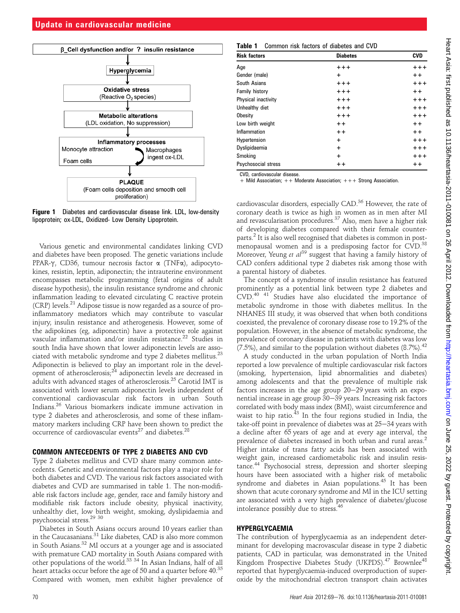

Figure 1 Diabetes and cardiovascular disease link. LDL, low-density lipoprotein; ox-LDL, Oxidized- Low Density Lipoprotein.

Various genetic and environmental candidates linking CVD and diabetes have been proposed. The genetic variations include PPAR- $\gamma$ , CD36, tumour necrosis factor  $\alpha$  (TNF $\alpha$ ), adipocytokines, resistin, leptin, adiponectin; the intrauterine environment encompasses metabolic programming (fetal origins of adult disease hypothesis), the insulin resistance syndrome and chronic inflammation leading to elevated circulating C reactive protein (CRP) levels.<sup>21</sup> Adipose tissue is now regarded as a source of proinflammatory mediators which may contribute to vascular injury, insulin resistance and atherogenesis. However, some of the adipokines (eg, adiponectin) have a protective role against vascular inflammation and/or insulin resistance.<sup>22</sup> Studies in south India have shown that lower adiponectin levels are associated with metabolic syndrome and type 2 diabetes mellitus.<sup>23</sup> Adiponectin is believed to play an important role in the development of atherosclerosis; $^{24}$  adiponectin levels are decreased in adults with advanced stages of atherosclerosis.<sup>25</sup> Carotid IMT is associated with lower serum adiponectin levels independent of conventional cardiovascular risk factors in urban South Indians.<sup>26</sup> Various biomarkers indicate immune activation in type 2 diabetes and atherosclerosis, and some of these inflammatory markers including CRP have been shown to predict the occurrence of cardiovascular events<sup>27</sup> and diabetes.<sup>28</sup>

#### COMMON ANTECEDENTS OF TYPE 2 DIABETES AND CVD

Type 2 diabetes mellitus and CVD share many common antecedents. Genetic and environmental factors play a major role for both diabetes and CVD. The various risk factors associated with diabetes and CVD are summarised in table 1. The non-modifiable risk factors include age, gender, race and family history and modifiable risk factors include obesity, physical inactivity, unhealthy diet, low birth weight, smoking, dyslipidaemia and psychosocial stress.<sup>29</sup> <sup>30</sup>

Diabetes in South Asians occurs around 10 years earlier than in the Caucasanians.<sup>31</sup> Like diabetes, CAD is also more common in South Asians.<sup>32</sup> MI occurs at a younger age and is associated with premature CAD mortality in South Asians compared with other populations of the world.<sup>33 34</sup> In Asian Indians, half of all heart attacks occur before the age of 50 and a quarter before 40.<sup>35</sup> Compared with women, men exhibit higher prevalence of

| <b>Table 1</b> Common risk factors of diabetes and CVD |  |  |  |  |
|--------------------------------------------------------|--|--|--|--|
|                                                        |  |  |  |  |

| <b>Risk factors</b> | <b>Diabetes</b> | <b>CVD</b> |  |
|---------------------|-----------------|------------|--|
| Age                 | $+ + +$         | $+ + +$    |  |
| Gender (male)       | $\ddot{}$       | $++$       |  |
| South Asians        | $+ + +$         | $+ + +$    |  |
| Family history      | $+ + +$         | $+ +$      |  |
| Physical inactivity | $+ + +$         | $+ + +$    |  |
| Unhealthy diet      | $+ + +$         | $+ + +$    |  |
| Obesity             | $+ + +$         | $+ + +$    |  |
| Low birth weight    | $++$            | $+ +$      |  |
| Inflammation        | $++$            | $+ +$      |  |
| Hypertension        | $\ddot{}$       | $+ + +$    |  |
| Dyslipidaemia       | $\ddot{}$       | $++++$     |  |
| Smoking             | $\ddot{}$       | $+ + +$    |  |
| Psychosocial stress | $++$            | $++$       |  |

CVD, cardiovascular disease.

+ Mild Association; ++ Moderate Association; +++ Strong Association.

cardiovascular disorders, especially CAD.<sup>36</sup> However, the rate of coronary death is twice as high in women as in men after MI and revascularisation procedures.<sup>37</sup> Also, men have a higher risk of developing diabetes compared with their female counterparts.<sup>2</sup> It is also well recognised that diabetes is common in postmenopausal women and is a predisposing factor for CVD.<sup>38</sup> Moreover, Yeung et  $al^{39}$  suggest that having a family history of CAD confers additional type 2 diabetes risk among those with a parental history of diabetes.

The concept of a syndrome of insulin resistance has featured prominently as a potential link between type 2 diabetes and CVD.<sup>40</sup> <sup>41</sup> Studies have also elucidated the importance of metabolic syndrome in those with diabetes mellitus. In the NHANES III study, it was observed that when both conditions coexisted, the prevalence of coronary disease rose to 19.2% of the population. However, in the absence of metabolic syndrome, the prevalence of coronary disease in patients with diabetes was low (7.5%), and similar to the population without diabetes  $(8.7\%)^{42}$ 

A study conducted in the urban population of North India reported a low prevalence of multiple cardiovascular risk factors (smoking, hypertension, lipid abnormalities and diabetes) among adolescents and that the prevalence of multiple risk factors increases in the age group  $20-29$  years with an exponential increase in age group 30-39 years. Increasing risk factors correlated with body mass index (BMI), waist circumference and waist to hip ratio.<sup>43</sup> In the four regions studied in India, the take-off point in prevalence of diabetes was at 25-34 years with a decline after 65 years of age and at every age interval, the prevalence of diabetes increased in both urban and rural areas.<sup>2</sup> Higher intake of trans fatty acids has been associated with weight gain, increased cardiometabolic risk and insulin resistance.<sup>44</sup> Psychosocial stress, depression and shorter sleeping hours have been associated with a higher risk of metabolic syndrome and diabetes in Asian populations.<sup>45</sup> It has been shown that acute coronary syndrome and MI in the ICU setting are associated with a very high prevalence of diabetes/glucose intolerance possibly due to stress.<sup>46</sup>

#### HYPERGLYCAEMIA

The contribution of hyperglycaemia as an independent determinant for developing macrovascular disease in type 2 diabetic patients, CAD in particular, was demonstrated in the United Kingdom Prospective Diabetes Study (UKPDS).<sup>47</sup> Brownlee<sup>48</sup> reported that hyperglycaemia-induced overproduction of superoxide by the mitochondrial electron transport chain activates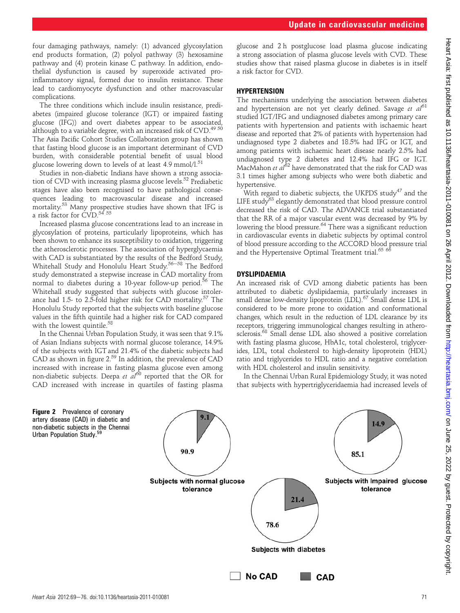four damaging pathways, namely: (1) advanced glycosylation end products formation, (2) polyol pathway (3) hexosamine pathway and (4) protein kinase C pathway. In addition, endothelial dysfunction is caused by superoxide activated proinflammatory signal, formed due to insulin resistance. These lead to cardiomyocyte dysfunction and other macrovascular complications.

The three conditions which include insulin resistance, prediabetes (impaired glucose tolerance (IGT) or impaired fasting glucose (IFG)) and overt diabetes appear to be associated, although to a variable degree, with an increased risk of CVD.<sup>49 50</sup> The Asia Pacific Cohort Studies Collaboration group has shown that fasting blood glucose is an important determinant of CVD burden, with considerable potential benefit of usual blood glucose lowering down to levels of at least  $4.9 \text{ mmol/l}^{51}$ 

Studies in non-diabetic Indians have shown a strong association of CVD with increasing plasma glucose levels.<sup>52</sup> Prediabetic stages have also been recognised to have pathological consequences leading to macrovascular disease and increased mortality.<sup>53</sup> Many prospective studies have shown that IFG is a risk factor for CVD.<sup>54 55</sup>

Increased plasma glucose concentrations lead to an increase in glycosylation of proteins, particularly lipoproteins, which has been shown to enhance its susceptibility to oxidation, triggering the atherosclerotic processes. The association of hyperglycaemia with CAD is substantiated by the results of the Bedford Study, Whitehall Study and Honolulu Heart Study.<sup>56-58</sup> The Bedford study demonstrated a stepwise increase in CAD mortality from normal to diabetes during a 10-year follow-up period.<sup>56</sup> The Whitehall study suggested that subjects with glucose intolerance had 1.5- to 2.5-fold higher risk for CAD mortality.<sup>57</sup> The Honolulu Study reported that the subjects with baseline glucose values in the fifth quintile had a higher risk for CAD compared with the lowest quintile.<sup>58</sup>

In the Chennai Urban Population Study, it was seen that 9.1% of Asian Indians subjects with normal glucose tolerance, 14.9% of the subjects with IGT and 21.4% of the diabetic subjects had CAD as shown in figure 2.59 In addition, the prevalence of CAD increased with increase in fasting plasma glucose even among non-diabetic subjects. Deepa et al<sup>60</sup> reported that the OR for CAD increased with increase in quartiles of fasting plasma

glucose and 2 h postglucose load plasma glucose indicating a strong association of plasma glucose levels with CVD. These studies show that raised plasma glucose in diabetes is in itself a risk factor for CVD.

### **HYPERTENSION**

The mechanisms underlying the association between diabetes and hypertension are not yet clearly defined. Savage et  $a^{61}$ studied IGT/IFG and undiagnosed diabetes among primary care patients with hypertension and patients with ischaemic heart disease and reported that 2% of patients with hypertension had undiagnosed type 2 diabetes and 18.5% had IFG or IGT, and among patients with ischaemic heart disease nearly 2.5% had undiagnosed type 2 diabetes and 12.4% had IFG or IGT. MacMahon et  $aI^{62}$  have demonstrated that the risk for CAD was 3.1 times higher among subjects who were both diabetic and hypertensive.

With regard to diabetic subjects, the UKPDS study<sup>47</sup> and the LIFE study $63$  elegantly demonstrated that blood pressure control decreased the risk of CAD. The ADVANCE trial substantiated that the RR of a major vascular event was decreased by 9% by lowering the blood pressure.<sup>64</sup> There was a significant reduction in cardiovascular events in diabetic subjects by optimal control of blood pressure according to the ACCORD blood pressure trial and the Hypertensive Optimal Treatment trial.<sup>65</sup> 66

## DYSLIPIDAEMIA

An increased risk of CVD among diabetic patients has been attributed to diabetic dyslipidaemia, particularly increases in small dense low-density lipoprotein (LDL).<sup>67</sup> Small dense LDL is considered to be more prone to oxidation and conformational changes, which result in the reduction of LDL clearance by its receptors, triggering immunological changes resulting in atherosclerosis.<sup>68</sup> Small dense LDL also showed a positive correlation with fasting plasma glucose, HbA1c, total cholesterol, triglycerides, LDL, total cholesterol to high-density lipoprotein (HDL) ratio and triglycerides to HDL ratio and a negative correlation with HDL cholesterol and insulin sensitivity.

In the Chennai Urban Rural Epidemiology Study, it was noted that subjects with hypertriglyceridaemia had increased levels of

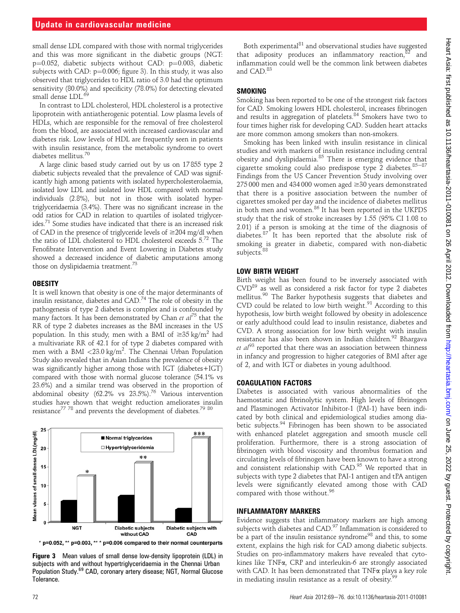small dense LDL compared with those with normal triglycerides and this was more significant in the diabetic groups (NGT:  $p=0.052$ , diabetic subjects without CAD:  $p=0.003$ , diabetic subjects with CAD:  $p=0.006$ ; figure 3). In this study, it was also observed that triglycerides to HDL ratio of 3.0 had the optimum sensitivity (80.0%) and specificity (78.0%) for detecting elevated small dense LDL.<sup>69</sup>

In contrast to LDL cholesterol, HDL cholesterol is a protective lipoprotein with antiatherogenic potential. Low plasma levels of HDLs, which are responsible for the removal of free cholesterol from the blood, are associated with increased cardiovascular and diabetes risk. Low levels of HDL are frequently seen in patients with insulin resistance, from the metabolic syndrome to overt diabetes mellitus.<sup>70</sup>

A large clinic based study carried out by us on 17 855 type 2 diabetic subjects revealed that the prevalence of CAD was significantly high among patients with isolated hypercholesterolaemia, isolated low LDL and isolated low HDL compared with normal individuals (2.8%), but not in those with isolated hypertriglyceridaemia (3.4%). There was no significant increase in the odd ratios for CAD in relation to quartiles of isolated triglycerides.71 Some studies have indicated that there is an increased risk of CAD in the presence of triglyceride levels of  $\geq$ 204 mg/dl when the ratio of LDL cholesterol to HDL cholesterol exceeds  $5^{72}$  The Fenofibrate Intervention and Event Lowering in Diabetes study showed a decreased incidence of diabetic amputations among those on dyslipidaemia treatment.<sup>73</sup>

#### **OBESITY**

It is well known that obesity is one of the major determinants of insulin resistance, diabetes and CAD.<sup>74</sup> The role of obesity in the pathogenesis of type 2 diabetes is complex and is confounded by many factors. It has been demonstrated by Chan et  $al^{75}$  that the RR of type 2 diabetes increases as the BMI increases in the US population. In this study, men with a BMI of  $\geq 35$  kg/m<sup>2</sup> had a multivariate RR of 42.1 for of type 2 diabetes compared with men with a BMI <23.0 kg/m<sup>2</sup>. The Chennai Urban Population Study also revealed that in Asian Indians the prevalence of obesity was significantly higher among those with IGT (diabetes+IGT) compared with those with normal glucose tolerance (54.1% vs 23.6%) and a similar trend was observed in the proportion of abdominal obesity (62.2% vs  $23.5\%$ ).<sup>76</sup> Various intervention studies have shown that weight reduction ameliorates insulin resistance<sup>77</sup><sup>78</sup> and prevents the development of diabetes.<sup>79</sup> 80</sup>





Figure 3 Mean values of small dense low-density lipoprotein (LDL) in subjects with and without hypertriglyceridaemia in the Chennai Urban Population Study.<sup>69</sup> CAD, coronary artery disease; NGT, Normal Glucose Tolerance.

Both experimental<sup>81</sup> and observational studies have suggested that adiposity produces an inflammatory reaction, $82$  and inflammation could well be the common link between diabetes and CAD.<sup>83</sup>

#### SMOKING

Smoking has been reported to be one of the strongest risk factors for CAD. Smoking lowers HDL cholesterol, increases fibrinogen and results in aggregation of platelets.<sup>84</sup> Smokers have two to four times higher risk for developing CAD. Sudden heart attacks are more common among smokers than non-smokers.

Smoking has been linked with insulin resistance in clinical studies and with markers of insulin resistance including central obesity and dyslipidaemia.<sup>85</sup> There is emerging evidence that cigarette smoking could also predispose type  $\tilde{2}$  diabetes.<sup>85-87</sup> Findings from the US Cancer Prevention Study involving over  $275\,000$  men and 434 000 women aged  $\geq$ 30 years demonstrated that there is a positive association between the number of cigarettes smoked per day and the incidence of diabetes mellitus in both men and women.<sup>86</sup> It has been reported in the UKPDS study that the risk of stroke increases by 1.55 (95% CI 1.08 to 2.01) if a person is smoking at the time of the diagnosis of diabetes.<sup>87</sup> It has been reported that the absolute risk of smoking is greater in diabetic, compared with non-diabetic subjects.<sup>88</sup>

#### LOW BIRTH WEIGHT

Birth weight has been found to be inversely associated with  $CVD<sup>89</sup>$  as well as considered a risk factor for type 2 diabetes mellitus.<sup>90</sup> The Barker hypothesis suggests that diabetes and CVD could be related to low birth weight.<sup>91</sup> According to this hypothesis, low birth weight followed by obesity in adolescence or early adulthood could lead to insulin resistance, diabetes and CVD. A strong association for low birth weight with insulin resistance has also been shown in Indian children.<sup>92</sup> Bhargava et  $al^{93}$  reported that there was an association between thinness in infancy and progression to higher categories of BMI after age of 2, and with IGT or diabetes in young adulthood.

#### COAGULATION FACTORS

Diabetes is associated with various abnormalities of the haemostatic and fibrinolytic system. High levels of fibrinogen and Plasminogen Activator Inhibitor-1 (PAI-1) have been indicated by both clinical and epidemiological studies among diabetic subjects.<sup>94</sup> Fibrinogen has been shown to be associated with enhanced platelet aggregation and smooth muscle cell proliferation. Furthermore, there is a strong association of fibrinogen with blood viscosity and thrombus formation and circulating levels of fibrinogen have been known to have a strong and consistent relationship with CAD.<sup>95</sup> We reported that in subjects with type 2 diabetes that PAI-1 antigen and tPA antigen levels were significantly elevated among those with CAD compared with those without.<sup>96</sup>

#### INFLAMMATORY MARKERS

Evidence suggests that inflammatory markers are high among subjects with diabetes and CAD.97 Inflammation is considered to be a part of the insulin resistance syndrome<sup>98</sup> and this, to some extent, explains the high risk for CAD among diabetic subjects. Studies on pro-inflammatory makers have revealed that cytokines like TNFa, CRP and interleukin-6 are strongly associated with CAD. It has been demonstrated that TNF $\alpha$  plays a key role in mediating insulin resistance as a result of obesity.<sup>99</sup>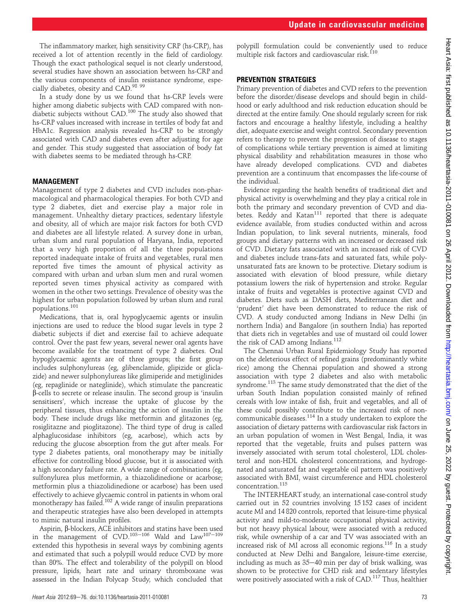The inflammatory marker, high sensitivity CRP (hs-CRP), has received a lot of attention recently in the field of cardiology. Though the exact pathological sequel is not clearly understood, several studies have shown an association between hs-CRP and the various components of insulin resistance syndrome, especially diabetes, obesity and CAD.98 <sup>99</sup>

In a study done by us we found that hs-CRP levels were higher among diabetic subjects with CAD compared with nondiabetic subjects without CAD.<sup>100</sup> The study also showed that hs-CRP values increased with increase in tertiles of body fat and HbA1c. Regression analysis revealed hs-CRP to be strongly associated with CAD and diabetes even after adjusting for age and gender. This study suggested that association of body fat with diabetes seems to be mediated through hs-CRP.

#### MANAGEMENT

Management of type 2 diabetes and CVD includes non-pharmacological and pharmacological therapies. For both CVD and type 2 diabetes, diet and exercise play a major role in management. Unhealthy dietary practices, sedentary lifestyle and obesity, all of which are major risk factors for both CVD and diabetes are all lifestyle related. A survey done in urban, urban slum and rural population of Haryana, India, reported that a very high proportion of all the three populations reported inadequate intake of fruits and vegetables, rural men reported five times the amount of physical activity as compared with urban and urban slum men and rural women reported seven times physical activity as compared with women in the other two settings. Prevalence of obesity was the highest for urban population followed by urban slum and rural populations.<sup>101</sup>

Medications, that is, oral hypoglycaemic agents or insulin injections are used to reduce the blood sugar levels in type 2 diabetic subjects if diet and exercise fail to achieve adequate control. Over the past few years, several newer oral agents have become available for the treatment of type 2 diabetes. Oral hypoglycaemic agents are of three groups; the first group includes sulphonylureas (eg, glibenclamide, glipizide or gliclazide) and newer sulphonylureas like glimiperide and metiglinides (eg, repaglinide or nateglinide), which stimulate the pancreatic b-cells to secrete or release insulin. The second group is 'insulin sensitisers', which increase the uptake of glucose by the peripheral tissues, thus enhancing the action of insulin in the body. These include drugs like metformin and glitazones (eg, rosiglitazne and pioglitazone). The third type of drug is called alphaglucosidase inhibitors (eg, acarbose), which acts by reducing the glucose absorption from the gut after meals. For type 2 diabetes patients, oral monotherapy may be initially effective for controlling blood glucose, but it is associated with a high secondary failure rate. A wide range of combinations (eg, sulfonylurea plus metformin, a thiazolidinedione or acarbose; metformin plus a thiazolidinedione or acarbose) has been used effectively to achieve glycaemic control in patients in whom oral monotherapy has failed.<sup>102</sup> A wide range of insulin preparations and therapeutic strategies have also been developed in attempts to mimic natural insulin profiles.

Aspirin,  $\beta$ -blockers, ACE inhibitors and statins have been used<br>in the management of CVD.<sup>103–106</sup> Wald and Law<sup>107–109</sup> extended this hypothesis in several ways by combining agents and estimated that such a polypill would reduce CVD by more than 80%. The effect and tolerability of the polypill on blood pressure, lipids, heart rate and urinary thromboxane was assessed in the Indian Polycap Study, which concluded that

polypill formulation could be conveniently used to reduce multiple risk factors and cardiovascular risk.<sup>110</sup>

#### PREVENTION STRATEGIES

Primary prevention of diabetes and CVD refers to the prevention before the disorder/disease develops and should begin in childhood or early adulthood and risk reduction education should be directed at the entire family. One should regularly screen for risk factors and encourage a healthy lifestyle, including a healthy diet, adequate exercise and weight control. Secondary prevention refers to therapy to prevent the progression of disease to stages of complications while tertiary prevention is aimed at limiting physical disability and rehabilitation measures in those who have already developed complications. CVD and diabetes prevention are a continuum that encompasses the life-course of the individual.

Evidence regarding the health benefits of traditional diet and physical activity is overwhelming and they play a critical role in both the primary and secondary prevention of CVD and diabetes. Reddy and Katan<sup>111</sup> reported that there is adequate evidence available, from studies conducted within and across Indian population, to link several nutrients, minerals, food groups and dietary patterns with an increased or decreased risk of CVD. Dietary fats associated with an increased risk of CVD and diabetes include trans-fats and saturated fats, while polyunsaturated fats are known to be protective. Dietary sodium is associated with elevation of blood pressure, while dietary potassium lowers the risk of hypertension and stroke. Regular intake of fruits and vegetables is protective against CVD and diabetes. Diets such as DASH diets, Mediterranean diet and 'prudent' diet have been demonstrated to reduce the risk of CVD. A study conducted among Indians in New Delhi (in northern India) and Bangalore (in southern India) has reported that diets rich in vegetables and use of mustard oil could lower the risk of CAD among Indians.<sup>112</sup>

The Chennai Urban Rural Epidemiology Study has reported on the deleterious effect of refined grains (predominantly white rice) among the Chennai population and showed a strong association with type 2 diabetes and also with metabolic syndrome.<sup>113</sup> The same study demonstrated that the diet of the urban South Indian population consisted mainly of refined cereals with low intake of fish, fruit and vegetables, and all of these could possibly contribute to the increased risk of noncommunicable diseases.<sup>114</sup> In a study undertaken to explore the association of dietary patterns with cardiovascular risk factors in an urban population of women in West Bengal, India, it was reported that the vegetable, fruits and pulses pattern was inversely associated with serum total cholesterol, LDL cholesterol and non-HDL cholesterol concentrations, and hydrogenated and saturated fat and vegetable oil pattern was positively associated with BMI, waist circumference and HDL cholesterol  $\,$  concentration.  $^{115}$ 

The INTERHEART study, an international case-control study carried out in 52 countries involving 15 152 cases of incident acute MI and 14 820 controls, reported that leisure-time physical activity and mild-to-moderate occupational physical activity, but not heavy physical labour, were associated with a reduced risk, while ownership of a car and TV was associated with an increased risk of MI across all economic regions.<sup>116</sup> In a study conducted at New Delhi and Bangalore, leisure-time exercise, including as much as  $35-40$  min per day of brisk walking, was shown to be protective for CHD risk and sedentary lifestyles were positively associated with a risk of CAD.117 Thus, healthier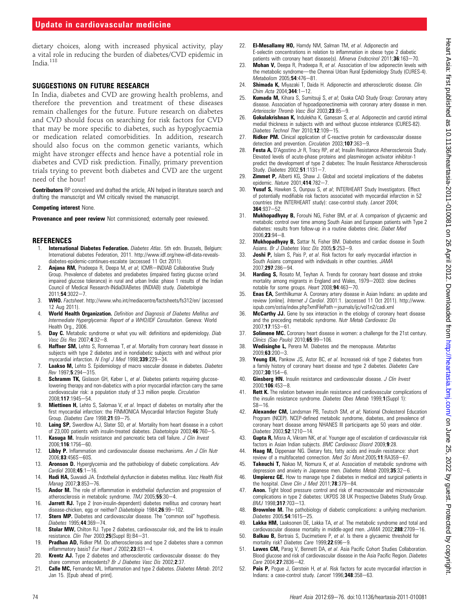### Update in cardiovascular medicine

dietary choices, along with increased physical activity, play a vital role in reducing the burden of diabetes/CVD epidemic in India.<sup>118</sup>

#### SUGGESTIONS ON FUTURE RESEARCH

In India, diabetes and CVD are growing health problems, and therefore the prevention and treatment of these diseases remain challenges for the future. Future research on diabetes and CVD should focus on searching for risk factors for CVD that may be more specific to diabetes, such as hypoglycaemia or medication related comorbidities. In addition, research should also focus on the common genetic variants, which might have stronger effects and hence have a potential role in diabetes and CVD risk prediction. Finally, primary prevention trials trying to prevent both diabetes and CVD are the urgent need of the hour!

Contributors RP conceived and drafted the article, AN helped in literature search and drafting the manuscript and VM critically revised the manuscript.

#### Competing interest None.

Provenance and peer review Not commissioned; externally peer reviewed.

#### REFERENCES

- International Diabetes Federation. Diabetes Atlas. 5th edn. Brussels, Belgium: International diabetes Federation, 2011. http://www.idf.org/new-idf-data-revealsdiabetes-epidemic-continues-escalate (accessed 11 Oct 2011).
- Anjana RM, Pradeepa R, Deepa M, et al; ICMR-INDIAB Collaborative Study Group. Prevalence of diabetes and prediabetes (impaired fasting glucose or/and impaired glucose tolerance) in rural and urban India: phase 1 results of the Indian Council of Medical Research-INdiaDIABetes (INDIAB) study. Diabetologia 2011;54:3022-7.
- 3. WHO. Factsheet. http://www.who.int/mediacentre/factsheets/fs312/en/ (accessed 12 Aug 2011).
- World Health Organization. Definition and Diagnosis of Diabetes Mellitus and Intermediate Hyperglycemia: Report of a WHO/IDF Consultation. Geneva: World Health Org., 2006.
- 5. **Day C.** Metabolic syndrome or what you will: definitions and epidemiology. *Diab* Vasc Dis Res 2007:4:32-8.
- 6. **Haffner SM,** Lehto S, Ronnemaa T, et al. Mortality from coronary heart disease in subjects with type 2 diabetes and in nondiabetic subjects with and without prior myocardial infarction. N Engl J Med 1998;339:229-34.
- 7. Laakso M, Lehto S. Epidemiology of macro vascular disease in diabetes. Diabetes  $R_{PV}$  1997; 5:294-315
- 8. Schramm TK, Gislason GH, Køber L, et al. Diabetes patients requiring glucoselowering therapy and non-diabetics with a prior myocardial infarction carry the same cardiovascular risk: a population study of 3.3 million people. Circulation 2008;117:1945-54.
- 9. **Miettinen H,** Lehto S, Salomaa V, et al. Impact of diabetes on mortality after the first myocardial infarction: the FINMONICA Myocardial Infarction Register Study Group. Diabetes Care 1998;21:69-75.
- 10. Laing SP, Swerdlow AJ, Slater SD, et al. Mortality from heart disease in a cohort of 23,000 patients with insulin-treated diabetes. *Diabetologia* 2003:46:760-5.
- 11. Kasuga M. Insulin resistance and pancreatic beta cell failure. J Clin Invest 2006:116:1756-60.
- 12. Libby P. Inflammation and cardiovascular disease mechanisms. Am J Clin Nutr 2006;83:456S-60S.
- 13. **Aronson D.** Hyperglycemia and the pathobiology of diabetic complications. Adv  $Cardiol$  2008: $45:1-16$ .
- 14. Hadi HA, Suwaidi JA. Endothelial dysfunction in diabetes mellitus. Vasc Health Risk Manag 2007;3:853-76.
- 15. **Andor M.** The role of inflammation in endothelial dysfunction and progression of atherosclerosis in metabolic syndrome.  $TMJ$  2005;55:30-4.
- 16. **Jarrett RJ.** Type 2 (non-insulin-dependent) diabetes mellitus and coronary heart disease-chicken, egg or neither? Diabetologia 1984;26:99-102.
- 17. Stern MP. Diabetes and cardiovascular disease. The "common soil" hypothesis. Diabetes 1995;44:369-74.
- 18. **Stolar MW,** Chilton RJ. Type 2 diabetes, cardiovascular risk, and the link to insulin resistance. Clin Ther 2003;25(Suppl B):B4-31.
- 19. Pradhan AD, Ridker PM. Do atherosclerosis and type 2 diabetes share a common inflammatory basis? Eur Heart  $J$  2002; 23:831-4.
- 20. **Krentz AJ.** Type 2 diabetes and atherosclerotic cardiovascular disease: do they share common antecedents? Br J Diabetes Vasc Dis 2002:2:37.
- 21. Calle MC, Fernandez ML. Inflammation and type 2 diabetes. Diabetes Metab. 2012 Jan 15. [Epub ahead of print].
- 22. **El-Mesallamy HO**, Hamdy NM, Salman TM, et al. Adiponectin and E-selectin concentrations in relation to inflammation in obese type 2 diabetic patients with coronary heart disease(s). Minerva Endocrinol 2011;36:163-70.
- 23. **Mohan V,** Deepa R, Pradeepa R, et al. Association of low adiponectin levels with the metabolic syndrome-the Chennai Urban Rural Epidemiology Study (CURES-4). Metabolism  $2005:54:476-81$
- 24. Shimada K, Miyazaki T, Daida H. Adiponectin and atherosclerotic disease. Clin  $Chim$  Acta 2004; 344: 1-12.
- 25. Kumada M, Kihara S, Sumitsuji S, et al; Osaka CAD Study Group: Coronary artery disease. Association of hypoadiponectinemia with coronary artery disease in men. Arterioscler Thromb Vasc Biol 2003:23:85-9.
- 26. Gokulakrishnan K, Indulekha K, Ganesan S, et al. Adiponectin and carotid intimal medial thickness in subjects with and without glucose intolerance (CURES-82). Diabetes Technol Ther 2010;12:109-15.
- 27. **Ridker PM.** Clinical application of C-reactive protein for cardiovascular disease detection and prevention. Circulation 2003;107:363-9.
- 28. Festa A, D'Agostino Jr R, Tracy RP, et al; Insulin Resistance Atherosclerosis Study. Elevated levels of acute-phase proteins and plasminogen activator inhibitor-1 predict the development of type 2 diabetes: The Insulin Resistance Atherosclerosis Study. Diabetes  $2002; 51:1131 - 7$ .
- 29. **Zimmet P,** Alberti KG, Shaw J. Global and societal implications of the diabetes epidemic. Nature 2001;414:782-7.
- 30. **Yusuf S,** Hawken S, Ounpuu S, et al; INTERHEART Study Investigators. Effect of potentially modifiable risk factors associated with myocardial infarction in 52 countries (the INTERHEART study): case-control study. Lancet 2004;  $364.937 - 52$
- 31. Mukhopadhyay B, Forouhi NG, Fisher BM, et al. A comparison of glycaemic and metabolic control over time among South Asian and European patients with Type 2 diabetes: results from follow-up in a routine diabetes clinic. Diabet Med  $2006;$ **23**:94-8.
- 32. **Mukhopadhyay B,** Sattar N, Fisher BM. Diabetes and cardiac disease in South Asians. Br J Diabetes Vasc Dis 2005;5:253-9.
- 33. **Joshi P,** Islam S, Pais P, et al. Risk factors for early myocardial infarction in South Asians compared with individuals in other countries. JAMA 2007:297:286-94.
- 34. Harding S, Rosato M, Teyhan A. Trends for coronary heart disease and stroke mortality among migrants in England and Wales, 1979-2003: slow declines notable for some groups. Heart 2008;94:463-70.
- 35. Enas EA, Senthilkumar A. Coronary artery disease in Asian Indians: an update and review [online]. Internet J Cardiol. 2001:1. (accessed 11 Oct 2011). http://www. ispub.com/ostia/index.php?xmlFilePath=journals/ijc/vol1n2/cadi.xml
- 36. McCarthy JJ. Gene by sex interaction in the etiology of coronary heart disease and the preceding metabolic syndrome. Nutr Metab Cardiovasc Dis 2007:17:153-61.
- 37. **Solimene MC.** Coronary heart disease in women: a challenge for the 21st century. Clinics (Sao Paulo)  $2010:65:99-106$ .
- 38. Wedisinghe L, Perera M. Diabetes and the menopause. Maturitas  $2009;63:200-3.$
- 39. Yeung EH, Pankow JS, Astor BC, et al. Increased risk of type 2 diabetes from a family history of coronary heart disease and type 2 diabetes. Diabetes Care  $2007:30:154 - 6$
- 40. Ginsberg HN. Insulin resistance and cardiovascular disease. J Clin Invest  $2000:106:453-8$
- 41. Rett K. The relation between insulin resistance and cardiovascular complications of the insulin resistance syndrome. Diabetes Obes Metab 1999;1(Suppl 1):  $S8 - 16$
- 42. Alexander CM, Landsman PB, Teutsch SM, et al; National Cholesterol Education Program (NCEP). NCEP-defined metabolic syndrome, diabetes, and prevalence of coronary heart disease among NHANES III participants age 50 years and older.  $Diabetes 2003;52:1210-14.$
- 43. Gupta R, Misra A, Vikram NK, et al. Younger age of escalation of cardiovascular risk factors in Asian Indian subjects. BMC Cardiovasc Disord 2009;9:28.
- 44. Haag M, Dippenaar NG. Dietary fats, fatty acids and insulin resistance: short review of a multifaceted connection. Med Sci Monit.2005;11:RA359-67.
- 45. Takeuchi T, Nakao M, Nomura K, et al. Association of metabolic syndrome with depression and anxiety in Japanese men. Diabetes Metab 2009;35:32-6.
- 46. **Umpierez GE.** How to manage type 2 diabetes in medical and surgical patients in the hospital. Cleve Clin J Med  $2011;78:379-84$ .
- 47. **Anon.** Tight blood pressure control and risk of macrovascular and microvascular complications in type 2 diabetes: UKPDS 38 UK Prospective Diabetes Study Group.  $RMI$  1998:317:703-13.
- 48. Brownlee M. The pathobiology of diabetic complications: a unifying mechanism. Diabetes 2005;54:1615-25
- 49. Lakka HM, Laaksonen DE, Lakka TA, et al. The metabolic syndrome and total and cardiovascular disease mortality in middle-aged men.  $JAMA$  2002;288:2709-16.
- 50. **Balkau B,** Bertrais S, Ducimetiere P, et al. Is there a glycaemic threshold for mortality risk? Diabetes Care 1999;22:696-9.
- 51. Lawes CM, Parag V, Bennett DA, et al. Asia Pacific Cohort Studies Collaboration. Blood glucose and risk of cardiovascular disease in the Asia Pacific Region. Diabetes Care 2004;27:2836-42.
- 52. Pais P, Pogue J, Gerstein H, et al. Risk factors for acute myocardial infarction in Indians: a case-control study. Lancet 1996;348:358-63.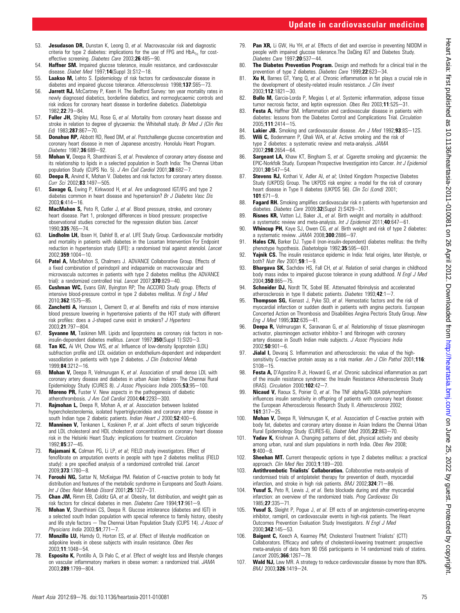- 53. Jesudason DR, Dunstan K, Leong D, et al. Macrovascular risk and diagnostic criteria for type 2 diabetes: implications for the use of FPG and  $HbA_{1c}$  for costeffective screening. Diabetes Care 2003;26:485-90.
- 54. Haffner SM. Impaired glucose tolerance, insulin resistance, and cardiovascular disease. Diabet Med  $1997;14$ (Suppl 3):S12-18.
- 55. Laakso M, Lehto S. Epidemiology of risk factors for cardiovascular disease in diabetes and impaired glucose tolerance. Atherosclerosis 1998;137:S65-73.
- 56. Jarrett RJ, McCartney P, Keen H. The Bedford Survey: ten year mortality rates in newly diagnosed diabetics, borderline diabetics, and normoglycaemic controls and risk indices for coronary heart disease in borderline diabetics. Diabetologia 1982:22:79-84.
- 57. Fuller JH, Shipley MJ, Rose G, et al. Mortality from coronary heart disease and stroke in relation to degree of glycaemia: the Whitehall study. Br Med J (Clin Res Ed) 1983:287:867-70.
- **Donahue RP**, Abbott RD, Reed DM, et al. Postchallenge glucose concentration and coronary heart disease in men of Japanese ancestry. Honolulu Heart Program. Diabetes 1987:36:689-92.
- 59. Mohan V, Deepa R, Shanthirani S, et al. Prevalence of coronary artery disease and its relationship to lipids in a selected population in South India: The Chennai Urban population Study (CUPS No. 5). J Am Coll Cardiol 2001; 38:682-7.
- 60. Deepa R, Arvind K, Mohan V. Diabetes and risk factors for coronary artery disease. Curr Sci 2002;83:1497-505.
- 61. Savage G, Ewing P, Kirkwood H, et al. Are undiagnosed IGT/IFG and type 2 diabetes common in heart disease and hypertension? Br J Diabetes Vasc Dis  $20036.414 - 16$
- 62. MacMahon S, Peto R, Cutler J, et al. Blood pressure, stroke, and coronary heart disease. Part 1, prolonged differences in blood pressure: prospective observational studies corrected for the regression dilution bias. Lancet 1990;335:765-74
- 63. Lindholm LH, Ibsen H, Dahlof B, et al. LIFE Study Group. Cardiovascular morbidity and mortality in patients with diabetes in the Losartan Intervention For Endpoint reduction in hypertension study (LIFE): a randomised trial against atenolol. Lancet 2002;359:1004-10.
- 64. Patel A, MacMahon S, Chalmers J. ADVANCE Collaborative Group. Effects of a fixed combination of perindopril and indapamide on macrovascular and microvascula outcomes in patients with type 2 diabetes mellitus (the ADVANCE trial): a randomized controlled trial. Lancet 2007;370:829-40.
- 65. Cushman WC, Evans GW, Byington RP; The ACCORD Study group. Effects of intensive blood-pressure control in type 2 diabetes mellitus. N Engl J Med 2010:362:1575-85.
- 66. **Zanchetti A,** Hansson L, Clement D, et al. Benefits and risks of more intensive blood pressure lowering in hypertensive patients of the HOT study with different risk profiles: does a J-shaped curve exist in smokers? J Hypertens 2003:21:797-804.
- 67. Syvanne M, Taskinen MR. Lipids and lipoproteins as coronary risk factors in noninsulin-dependent diabetes mellitus. Lancet 1997;350(Suppl 1):SI20-3.
- 68. Tan KC, Ai VH, Chow WS, et al. Influence of low-density lipoprotein (LDL) subfraction profile and LDL oxidation on endothelium-dependent and independent vasodilation in patients with type 2 diabetes. J Clin Endocrinol Metab 1999; 84:3212-16.
- 69. **Mohan V,** Deepa R, Velmurugan K, et al. Association of small dense LDL with coronary artery disease and diabetes in urban Asian Indians- The Chennai Rural Epidemiology Study (CURES 8). J Assoc Physicians India 2005;53;95-100.
- 70. Moreno PR, Fuster V. New aspects in the pathogenesis of diabetic atherothrombosis. J Am Coll Cardiol 2004; $44$ :2293-300.
- 71. Rajmohan L, Deepa R, Mohan A, et al. Association between Isolated hypercholesterolemia, isolated hypertriglycerideia and coronary artery disease in south Indian type 2 diabetic patients. Indian Heart J 2000;52:400-6.
- 72. Manninen V, Tenkanen L, Koskinen P, et al. Joint effects of serum triglyceride and LDL cholesterol and HDL cholesterol concentrations on coronary heart disease risk in the Helsinki Heart Study: implications for treatment. Circulation 1992;85:37-45.
- 73. Rajamani K, Colman PG, Li LP, et al; FIELD study investigators. Effect of fenofibrate on amputation events in people with type 2 diabetes mellitus (FIELD study): a pre specified analysis of a randomized controlled trial. *Lancet* 2009:373:1780-8.
- 74. Forouhi NG, Sattar N, McKeigue PM. Relation of C-reactive protein to body fat distribution and features of the metabolic syndrome in Europeans and South Asians. Int J Obes Relat Metab Disord 2001;25:1327-31.
- 75. Chan JM, Rimm EB, Colditz GA, et al. Obesity, fat distribution, and weight gain as risk factors for clinical diabetes in men. Diabetes Care 1994;17:961-9.
- 76. Mohan V, Shanthirani CS, Deepa R. Glucose intolerance (diabetes and IGT) in a selected south Indian population with special reference to family history, obesity and life style factors  $-$  The Chennai Urban Population Study (CUPS 14). J Assoc of Physicians India  $2003;51;771-7$ .
- 77. Monzillo LU, Hamdy O, Horton ES, et al. Effect of lifestyle modification on adipokine levels in obese subjects with insulin resistance. Obes Res 2003:11:1048-54.
- 78. **Esposito K,** Pontillo A, Di Palo C, et al. Effect of weight loss and lifestyle changes on vascular inflammatory markers in obese women: a randomized trial. JAMA 2003;289:1799-804.
- 79. **Pan XR**, Li GW, Hu YH, et al. Effects of diet and exercise in preventing NIDDM in people with impaired glucose tolerance.The DaQing IGT and Diabetes Study. Diabetes Care 1997;20:537-44.
- 80. The Diabetes Prevention Program. Design and methods for a clinical trial in the prevention of type 2 diabetes. Diabetes Care 1999:22:623-34.
- 81. Xu H, Barnes GT, Yang Q, et al. Chronic inflammation in fat plays a crucial role in the development of obesity-related insulin resistance. J Clin Invest 2003;112:1821-30.
- 82. **Bullo M,** Garcia-Lorda P, Megias I, et al. Systemic inflammation, adipose tissue tumor necrosis factor, and leptin expression. Obes Res 2003;11:525 $-31$ .
- 83. **Festa A.** Haffner SM. Inflammation and cardiovascular disease in patients with diabetes: lessons from the Diabetes Control and Complications Trial. Circulation 2005;111:2414-15.
- 84. **Lakier JB.** Smoking and cardiovascular disease. Am J Med 1992;93:8S-12S.<br>85. Will C. Bodenmann P. Ghali WA et al. Active smoking and the risk of
- Wili C, Bodenmann P, Ghali WA, et al. Active smoking and the risk of type 2 diabetes: a systematic review and meta-analysis. JAMA  $2007.298.2654 - 64$
- 86. Sargeant LA, Khaw KT, Bingham S, et al. Cigarette smoking and glycaemia: the EPIC-Norkfolk Study. European Prospective Investigation into Cancer. Int J Epidemiol  $2001;$ **30**:547-54.
- 87. Stevens RJ, Kothari V, Adler AI, et al; United Kingdom Prospective Diabetes Study (UKPDS) Group. The UKPDS risk engine: a model for the risk of coronary heart disease in Type II diabetes (UKPDS 56). Clin Sci (Lond) 2001;  $101:671 - 9$
- 88. **Fagard RH.** Smoking amplifies cardiovascular risk n patients with hypertension and diabetes. Diabetes Care 2009;32(Suppl 2):S429-31.
- 89. Risnes KR, Vatten LJ, Baker JL, et al. Birth weight and mortality in adulthood: a systematic review and meta-analysis. Int J Epidemiol 2011;40:647-61.
- 90. Whincup PH, Kaye SJ, Owen CG, et al. Birth weight and risk of type 2 diabetes: a systematic review.  $JAMA$  2008; $300:2886 - 97$ .
- 91. **Hales CN,** Barker DJ. Type-II (non-insulin-dependent) diabetes mellitus: the thrifty phenotype hypothesis. Diabetologia 1992;35:595-601.
- 92. Yajnik CS. The insulin resistance epidemic in India: fetal origins, later lifestyle, or both? Nutr Rev 2001;59:1-9.
- **Bhargava SK,** Sachdev HS, Fall CH, et al. Relation of serial changes in childhood body mass index to impaired glucose tolerance in young adulthood. N Engl J Med 2004:350:865-75.
- 94. Schneider DJ, Nordt TK, Sobel BE. Attenuated fibrinolysis and accelerated atherosclerosis in type II diabetic patients. Diabetes  $1993;42:1-7$ .
- 95. Thompson SG, Kienast J, Pyke SD, et al. Hemostatic factors and the risk of myocardial infarction or sudden death in patients with angina pectoris. European Concerted Action on Thrombosis and Disabilities Angina Pectoris Study Group. New Eng J Med 1995;332:635-41.
- 96. **Deepa R,** Velmurugan K, Saravanan G, et al. Relationship of tissue plasminogen activator, plasminogen activator inhibitor-1 and fibrinogen with coronary artery disease in South Indian male subjects. J Assoc Physicians India  $2002:50:901 - 6$
- 97. Jialal I, Devaraj S. Inflammation and atherosclerosis: the value of the highsensitivity C-reactive protein assay as a risk marker. Am J Clin Pathol 2001;116:  $S108 - 15$
- 98. **Festa A,** D'Agostino R Jr, Howard G, et al. Chronic subclinical inflammation as part of the insulin resistance syndrome: the Insulin Resistance Atherosclerosis Study (IRAS). Circulation 2000;102:42-7.
- 99. Nicaud V, Raoux S, Poirier O, et al. The TNF alpha/G-308A polymorphism influences insulin sensitivity in offspring of patients with coronary heart disease: the European Atherosclerosis Research Study II. Atherosclerosis 2002;  $161:317 - 25$
- 100. Mohan V, Deepa R, Velmurugan K, et al. Association of C-reactive protein with body fat, diabetes and coronary artery disease in Asian Indians the Chennai Urban Rural Epidemiology Study (CURES-6), Diabet Med 2005;22:863-70.
- 101. Yadav K, Krishnan A. Changing patterns of diet, physical activity and obesity among urban, rural and slum populations in north India. Obes Rev 2008;  $9:400 - 8$
- 102. **Sheehan MT.** Current therapeutic options in type 2 diabetes mellitus: a practical approach. Clin Med Res  $2003; 1:189-200$ .
- 103. **Antithrombotic Trialists' Collaboration.** Collaborative meta-analysis of randomised trials of antiplatelet therapy for prevention of death, myocardial infarction, and stroke in high risk patients.  $BMJ$  2002; 324:71-86.
- 104. Yusuf S, Peto R, Lewis J, et al. Beta blockade during and after myocardial infarction: an overview of the randomized trials. Prog Cardiovasc Dis 1985;27:335-71
- 105. Yusuf S, Sleight P, Pogue J, et al. Eff ects of an angiotensin-converting-enzyme inhibitor, ramipril, on cardiovascular events in high-risk patients. The Heart Outcomes Prevention Evaluation Study Investigators. N Engl J Med 2000;342:145-53.
- 106. Baigent C, Keech A, Kearney PM; Cholesterol Treatment Trialists' (CTT) Collaborators. Efficacy and safety of cholesterol-lowering treatment: prospective meta-analysis of data from 90 056 participants in 14 randomized trials of statins.  $Lancet 2005; 366:1267 - 78.$
- 107. Wald NJ, Law MR. A strategy to reduce cardiovascular disease by more than 80%. BMJ 2003;326:1419-24.